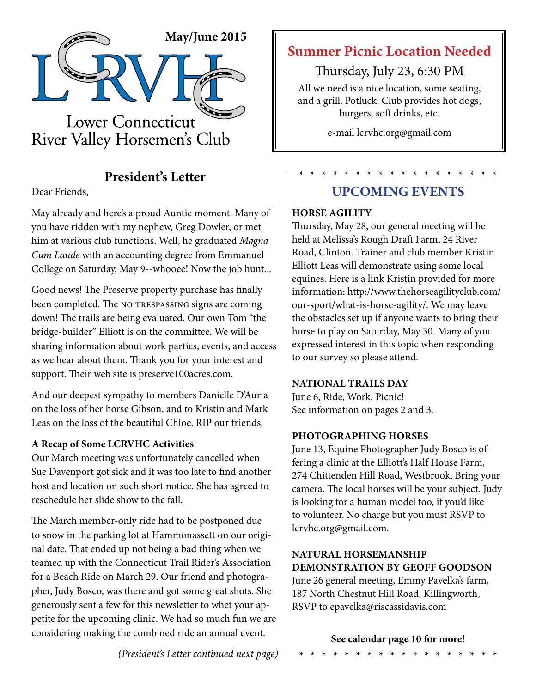

# **President's Letter**

Dear Friends,

May already and here's a proud Auntie moment. Many of you have ridden with my nephew, Greg Dowler, or met him at various club functions. Well, he graduated *Magna Cum Laude* with an accounting degree from Emmanuel College on Saturday, May 9--whooee! Now the job hunt...

Good news! The Preserve property purchase has finally been completed. The NO TRESPASSING signs are coming down! The trails are being evaluated. Our own Tom "the bridge-builder" Elliott is on the committee. We will be sharing information about work parties, events, and access as we hear about them. Thank you for your interest and support. Their web site is preserve100acres.com.

And our deepest sympathy to members Danielle D'Auria on the loss of her horse Gibson, and to Kristin and Mark Leas on the loss of the beautiful Chloe. RIP our friends.

#### **A Recap of Some LCRVHC Activities**

Our March meeting was unfortunately cancelled when Sue Davenport got sick and it was too late to find another host and location on such short notice. She has agreed to reschedule her slide show to the fall.

The March member-only ride had to be postponed due to snow in the parking lot at Hammonassett on our original date. That ended up not being a bad thing when we teamed up with the Connecticut Trail Rider's Association for a Beach Ride on March 29. Our friend and photographer, Judy Bosco, was there and got some great shots. She generously sent a few for this newsletter to whet your appetite for the upcoming clinic. We had so much fun we are considering making the combined ride an annual event.

# **Summer Picnic Location Needed**

Thursday, July 23, 6:30 PM

All we need is a nice location, some seating, and a grill. Potluck. Club provides hot dogs, burgers, soft drinks, etc.

e-mail lcrvhc.org@gmail.com

# \* \* \* \* \* \* \* \* \* \* \* \* \* \* \* \* \* \* **UPCOMING EVENTS**

#### **HORSE AGILITY**

Thursday, May 28, our general meeting will be held at Melissa's Rough Draft Farm, 24 River Road, Clinton. Trainer and club member Kristin Elliott Leas will demonstrate using some local equines. Here is a link Kristin provided for more information: http://www.thehorseagilityclub.com/ our-sport/what-is-horse-agility/. We may leave the obstacles set up if anyone wants to bring their horse to play on Saturday, May 30. Many of you expressed interest in this topic when responding to our survey so please attend.

### **NATIONAL TRAILS DAY**

June 6, Ride, Work, Picnic! See information on pages 2 and 3.

#### **PHOTOGRAPHING HORSES**

June 13, Equine Photographer Judy Bosco is offering a clinic at the Elliott's Half House Farm, 274 Chittenden Hill Road, Westbrook. Bring your camera. The local horses will be your subject. Judy is looking for a human model too, if you'd like to volunteer. No charge but you must RSVP to lcrvhc.org@gmail.com.

### **NATURAL HORSEMANSHIP DEMONSTRATION BY GEOFF GOODSON**

June 26 general meeting, Emmy Pavelka's farm, 187 North Chestnut Hill Road, Killingworth, RSVP to epavelka@riscassidavis.com

*(President's Letter continued next page)*

#### **See calendar page 10 for more!**

\* \* \* \* \* \* \* \* \* \* \* \* \* \* \* \* \* \*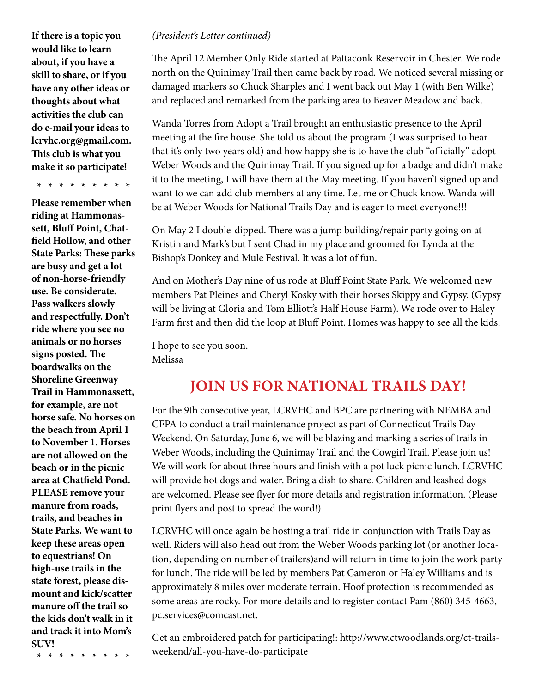**If there is a topic you would like to learn about, if you have a skill to share, or if you have any other ideas or thoughts about what activities the club can do e-mail your ideas to lcrvhc.org@gmail.com. This club is what you make it so participate!** 

**\* \* \* \* \* \* \* \* \***

**Please remember when riding at Hammonassett, Bluff Point, Chatfield Hollow, and other State Parks: These parks are busy and get a lot of non-horse-friendly use. Be considerate. Pass walkers slowly and respectfully. Don't ride where you see no animals or no horses signs posted. The boardwalks on the Shoreline Greenway Trail in Hammonassett, for example, are not horse safe. No horses on the beach from April 1 to November 1. Horses are not allowed on the beach or in the picnic area at Chatfield Pond. PLEASE remove your manure from roads, trails, and beaches in State Parks. We want to keep these areas open to equestrians! On high-use trails in the state forest, please dismount and kick/scatter manure off the trail so the kids don't walk in it and track it into Mom's SUV!**

**\* \* \* \* \* \* \* \* \***

#### *(President's Letter continued)*

The April 12 Member Only Ride started at Pattaconk Reservoir in Chester. We rode north on the Quinimay Trail then came back by road. We noticed several missing or damaged markers so Chuck Sharples and I went back out May 1 (with Ben Wilke) and replaced and remarked from the parking area to Beaver Meadow and back.

Wanda Torres from Adopt a Trail brought an enthusiastic presence to the April meeting at the fire house. She told us about the program (I was surprised to hear that it's only two years old) and how happy she is to have the club "officially" adopt Weber Woods and the Quinimay Trail. If you signed up for a badge and didn't make it to the meeting, I will have them at the May meeting. If you haven't signed up and want to we can add club members at any time. Let me or Chuck know. Wanda will be at Weber Woods for National Trails Day and is eager to meet everyone!!!

On May 2 I double-dipped. There was a jump building/repair party going on at Kristin and Mark's but I sent Chad in my place and groomed for Lynda at the Bishop's Donkey and Mule Festival. It was a lot of fun.

And on Mother's Day nine of us rode at Bluff Point State Park. We welcomed new members Pat Pleines and Cheryl Kosky with their horses Skippy and Gypsy. (Gypsy will be living at Gloria and Tom Elliott's Half House Farm). We rode over to Haley Farm first and then did the loop at Bluff Point. Homes was happy to see all the kids.

I hope to see you soon. Melissa

# **JOIN US FOR NATIONAL TRAILS DAY!**

For the 9th consecutive year, LCRVHC and BPC are partnering with NEMBA and CFPA to conduct a trail maintenance project as part of Connecticut Trails Day Weekend. On Saturday, June 6, we will be blazing and marking a series of trails in Weber Woods, including the Quinimay Trail and the Cowgirl Trail. Please join us! We will work for about three hours and finish with a pot luck picnic lunch. LCRVHC will provide hot dogs and water. Bring a dish to share. Children and leashed dogs are welcomed. Please see flyer for more details and registration information. (Please print flyers and post to spread the word!)

LCRVHC will once again be hosting a trail ride in conjunction with Trails Day as well. Riders will also head out from the Weber Woods parking lot (or another location, depending on number of trailers)and will return in time to join the work party for lunch. The ride will be led by members Pat Cameron or Haley Williams and is approximately 8 miles over moderate terrain. Hoof protection is recommended as some areas are rocky. For more details and to register contact Pam (860) 345-4663, pc.services@comcast.net.

Get an embroidered patch for participating!: http://www.ctwoodlands.org/ct-trailsweekend/all-you-have-do-participate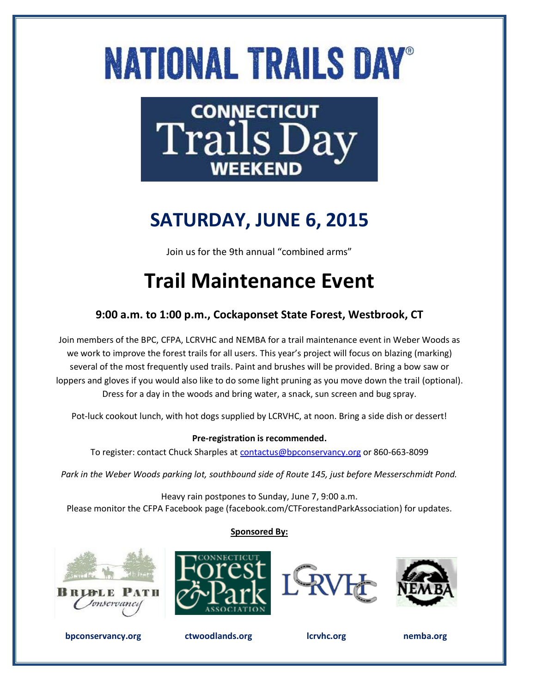# **NATIONAL TRAILS DAY®**



# **SATURDAY, JUNE 6, 2015**

Join us for the 9th annual "combined arms"

# **Trail Maintenance Event**

# **9:00 a.m. to 1:00 p.m., Cockaponset State Forest, Westbrook, CT**

Join members of the BPC, CFPA, LCRVHC and NEMBA for a trail maintenance event in Weber Woods as we work to improve the forest trails for all users. This year's project will focus on blazing (marking) several of the most frequently used trails. Paint and brushes will be provided. Bring a bow saw or loppers and gloves if you would also like to do some light pruning as you move down the trail (optional). Dress for a day in the woods and bring water, a snack, sun screen and bug spray.

Pot-luck cookout lunch, with hot dogs supplied by LCRVHC, at noon. Bring a side dish or dessert!

#### **Pre-registration is recommended.**

To register: contact Chuck Sharples at contactus@bpconservancy.org or 860-663-8099

*Park in the Weber Woods parking lot, southbound side of Route 145, just before Messerschmidt Pond.*

Heavy rain postpones to Sunday, June 7, 9:00 a.m. Please monitor the CFPA Facebook page (facebook.com/CTForestandParkAssociation) for updates.

#### **Sponsored By:**





**bpconservancy.org ctwoodlands.org lcrvhc.org nemba.org**





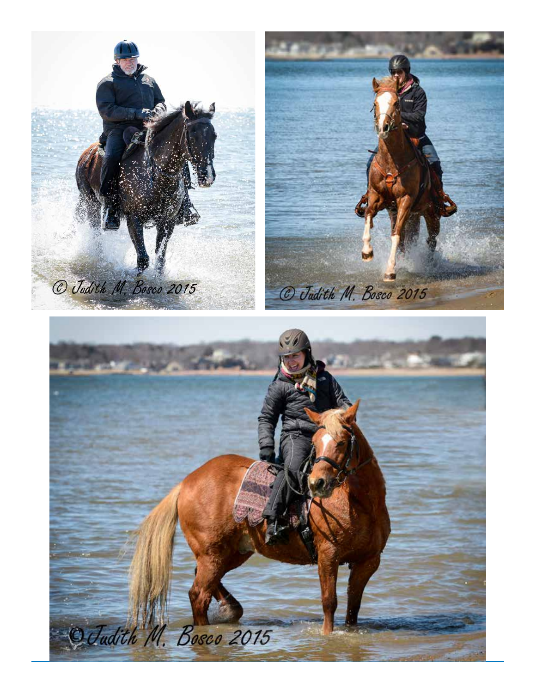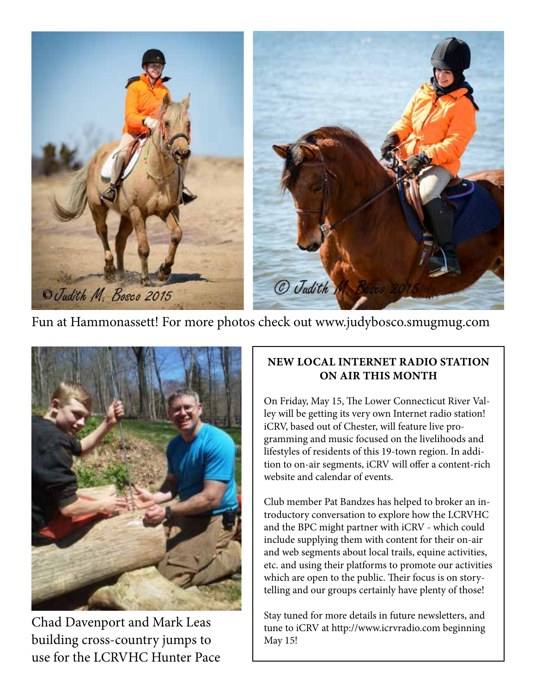

Fun at Hammonassett! For more photos check out www.judybosco.smugmug.com



Chad Davenport and Mark Leas building cross-country jumps to use for the LCRVHC Hunter Pace

### **NEW LOCAL INTERNET RADIO STATION ON AIR THIS MONTH**

On Friday, May 15, The Lower Connecticut River Valley will be getting its very own Internet radio station! iCRV, based out of Chester, will feature live programming and music focused on the livelihoods and lifestyles of residents of this 19-town region. In addition to on-air segments, iCRV will offer a content-rich website and calendar of events.

Club member Pat Bandzes has helped to broker an introductory conversation to explore how the LCRVHC and the BPC might partner with iCRV - which could include supplying them with content for their on-air and web segments about local trails, equine activities, etc. and using their platforms to promote our activities which are open to the public. Their focus is on storytelling and our groups certainly have plenty of those!

Stay tuned for more details in future newsletters, and tune to iCRV at http://www.icrvradio.com beginning May 15!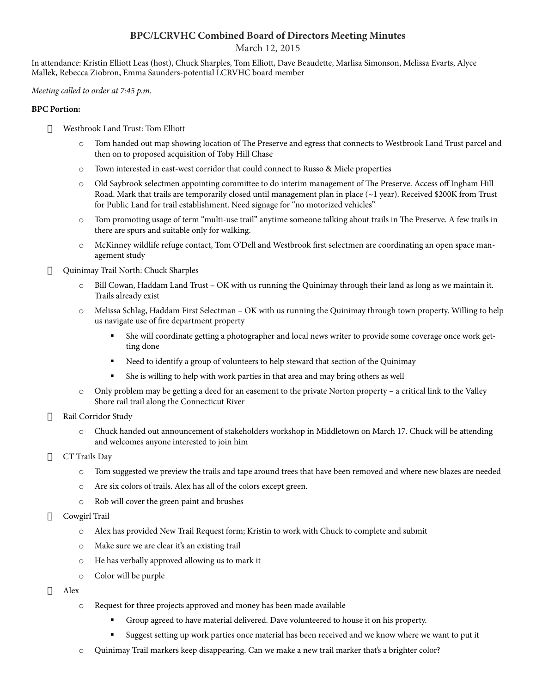#### **BPC/LCRVHC Combined Board of Directors Meeting Minutes**

March 12, 2015

In attendance: Kristin Elliott Leas (host), Chuck Sharples, Tom Elliott, Dave Beaudette, Marlisa Simonson, Melissa Evarts, Alyce Mallek, Rebecca Ziobron, Emma Saunders-potential LCRVHC board member

*Meeting called to order at 7:45 p.m.* 

#### **BPC Portion:**

- · Westbrook Land Trust: Tom Elliott
	- o Tom handed out map showing location of The Preserve and egress that connects to Westbrook Land Trust parcel and then on to proposed acquisition of Toby Hill Chase
	- o Town interested in east-west corridor that could connect to Russo & Miele properties
	- o Old Saybrook selectmen appointing committee to do interim management of The Preserve. Access off Ingham Hill Road. Mark that trails are temporarily closed until management plan in place  $(\sim 1 \text{ year})$ . Received \$200K from Trust for Public Land for trail establishment. Need signage for "no motorized vehicles"
	- o Tom promoting usage of term "multi-use trail" anytime someone talking about trails in The Preserve. A few trails in there are spurs and suitable only for walking.
	- o McKinney wildlife refuge contact, Tom O'Dell and Westbrook first selectmen are coordinating an open space management study
- · Quinimay Trail North: Chuck Sharples
	- o Bill Cowan, Haddam Land Trust OK with us running the Quinimay through their land as long as we maintain it. Trails already exist
	- o Melissa Schlag, Haddam First Selectman OK with us running the Quinimay through town property. Willing to help us navigate use of fire department property
		- She will coordinate getting a photographer and local news writer to provide some coverage once work getting done
		- Need to identify a group of volunteers to help steward that section of the Quinimay
		- She is willing to help with work parties in that area and may bring others as well
	- $\circ$  Only problem may be getting a deed for an easement to the private Norton property a critical link to the Valley Shore rail trail along the Connecticut River
- **7** Rail Corridor Study
	- o Chuck handed out announcement of stakeholders workshop in Middletown on March 17. Chuck will be attending and welcomes anyone interested to join him
- **CT** Trails Day
	- o Tom suggested we preview the trails and tape around trees that have been removed and where new blazes are needed
	- o Are six colors of trails. Alex has all of the colors except green.
	- o Rob will cover the green paint and brushes
- $\Box$  Cowgirl Trail
	- o Alex has provided New Trail Request form; Kristin to work with Chuck to complete and submit
	- o Make sure we are clear it's an existing trail
	- o He has verbally approved allowing us to mark it
	- o Color will be purple
- $\Box$  Alex
	- o Request for three projects approved and money has been made available
		- Group agreed to have material delivered. Dave volunteered to house it on his property.
		- Suggest setting up work parties once material has been received and we know where we want to put it
	- o Quinimay Trail markers keep disappearing. Can we make a new trail marker that's a brighter color?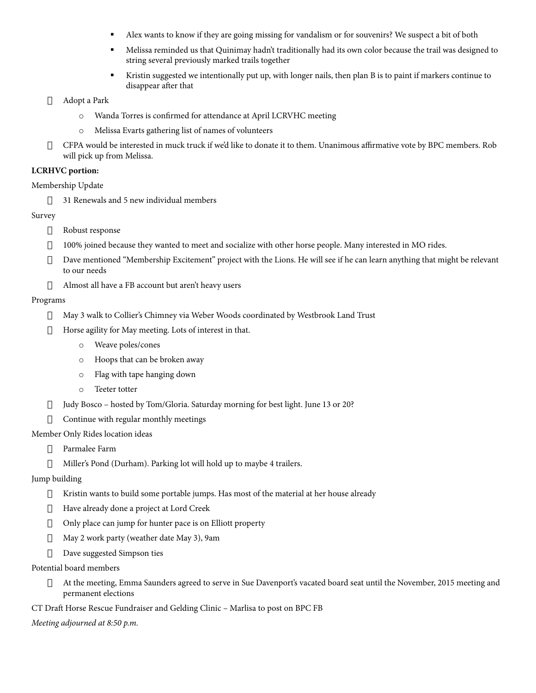- Alex wants to know if they are going missing for vandalism or for souvenirs? We suspect a bit of both
- Melissa reminded us that Quinimay hadn't traditionally had its own color because the trail was designed to string several previously marked trails together
- Kristin suggested we intentionally put up, with longer nails, then plan B is to paint if markers continue to disappear after that
- **1** Adopt a Park
	- o Wanda Torres is confirmed for attendance at April LCRVHC meeting
	- o Melissa Evarts gathering list of names of volunteers
- $\Box$  CFPA would be interested in muck truck if we'd like to donate it to them. Unanimous affirmative vote by BPC members. Rob will pick up from Melissa.

#### **LCRHVC portion:**

#### Membership Update

 $\Box$  31 Renewals and 5 new individual members

#### Survey

- **1** Robust response
- · 100% joined because they wanted to meet and socialize with other horse people. Many interested in MO rides.
- $\Box$  Dave mentioned "Membership Excitement" project with the Lions. He will see if he can learn anything that might be relevant to our needs
- · Almost all have a FB account but aren't heavy users

#### Programs

- · May 3 walk to Collier's Chimney via Weber Woods coordinated by Westbrook Land Trust
- $\Box$  Horse agility for May meeting. Lots of interest in that.
	- o Weave poles/cones
	- o Hoops that can be broken away
	- o Flag with tape hanging down
	- o Teeter totter
- $\Box$  Judy Bosco hosted by Tom/Gloria. Saturday morning for best light. June 13 or 20?
- $\Box$  Continue with regular monthly meetings

#### Member Only Rides location ideas

- $\Box$  Parmalee Farm
- · Miller's Pond (Durham). Parking lot will hold up to maybe 4 trailers.

#### Jump building

- $\Box$  Kristin wants to build some portable jumps. Has most of the material at her house already
- <sup>1</sup> Have already done a project at Lord Creek
- $\Box$  Only place can jump for hunter pace is on Elliott property
- $\Box$  May 2 work party (weather date May 3), 9am
- **Dave suggested Simpson ties**

#### Potential board members

- · At the meeting, Emma Saunders agreed to serve in Sue Davenport's vacated board seat until the November, 2015 meeting and permanent elections
- CT Draft Horse Rescue Fundraiser and Gelding Clinic Marlisa to post on BPC FB

#### *Meeting adjourned at 8:50 p.m.*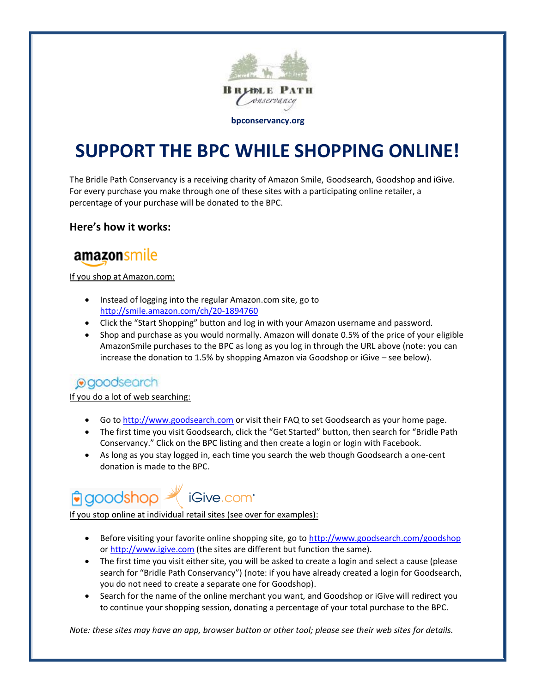

# **SUPPORT THE BPC WHILE SHOPPING ONLINE!**

The Bridle Path Conservancy is a receiving charity of Amazon Smile, Goodsearch, Goodshop and iGive. For every purchase you make through one of these sites with a participating online retailer, a percentage of your purchase will be donated to the BPC.

#### **Here's how it works:**

# amazonsmile

If you shop at Amazon.com:

- Instead of logging into the regular Amazon.com site, go to http://smile.amazon.com/ch/20-1894760
- Click the "Start Shopping" button and log in with your Amazon username and password.
- Shop and purchase as you would normally. Amazon will donate 0.5% of the price of your eligible AmazonSmile purchases to the BPC as long as you log in through the URL above (note: you can increase the donation to 1.5% by shopping Amazon via Goodshop or iGive – see below).

### **@goodsearch**

#### If you do a lot of web searching:

- Go to http://www.goodsearch.com or visit their FAQ to set Goodsearch as your home page.
- The first time you visit Goodsearch, click the "Get Started" button, then search for "Bridle Path Conservancy." Click on the BPC listing and then create a login or login with Facebook.
- As long as you stay logged in, each time you search the web though Goodsearch a one-cent donation is made to the BPC.

# **igoodshop** iGive.com

If you stop online at individual retail sites (see over for examples):

- Before visiting your favorite online shopping site, go to http://www.goodsearch.com/goodshop or http://www.igive.com (the sites are different but function the same).
- The first time you visit either site, you will be asked to create a login and select a cause (please search for "Bridle Path Conservancy") (note: if you have already created a login for Goodsearch, you do not need to create a separate one for Goodshop).
- Search for the name of the online merchant you want, and Goodshop or iGive will redirect you to continue your shopping session, donating a percentage of your total purchase to the BPC.

*Note: these sites may have an app, browser button or other tool; please see their web sites for details.*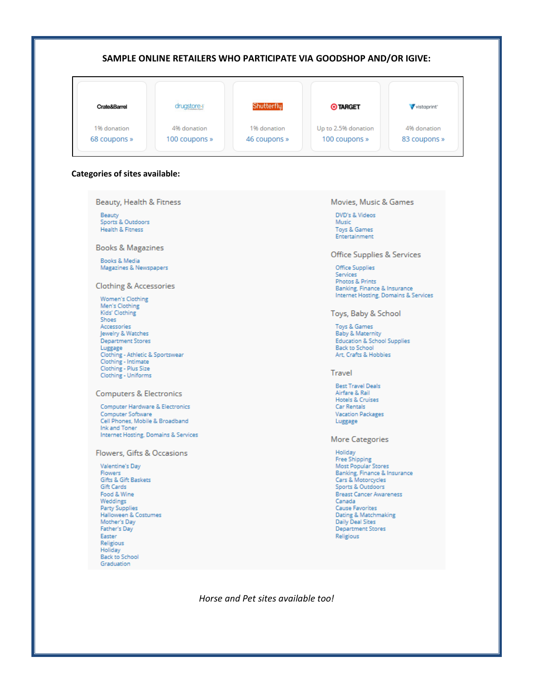#### SAMPLE ONLINE RETAILERS WHO PARTICIPATE VIA GOODSHOP AND/OR IGIVE:



#### **Categories of sites available:**

Beauty, Health & Fitness

Beauty Sports & Outdoors Health & Fitness

**Books & Magazines** 

Books & Media Magazines & Newspapers

Clothing & Accessories

Women's Clothing Men's Clothing Kids' Clothing Shoes Accessories Jewelry & Watches **Department Stores** Luggage Clothing - Athletic & Sportswear Clothing - Intimate Clothing - Plus Size<br>Clothing - Uniforms

#### **Computers & Electronics**

Computer Hardware & Electronics Computer Software Cell Phones, Mobile & Broadband Ink and Toner Internet Hosting, Domains & Services

#### Flowers, Gifts & Occasions

Valentine's Day Flowers<br>Gifts & Gift Baskets **Gift Cards** Food & Wine Weddings Party Supplies Halloween & Costumes Mother's Day Father's Day Easter Religious Holiday Back to School Graduation

#### Movies, Music & Games

DVD's & Videos Music Toys & Games Entertainment

Office Supplies & Services

**Office Supplies** Services Photos & Prints Banking, Finance & Insurance Internet Hosting, Domains & Services

Toys, Baby & School

Toys & Games Baby & Maternity **Education & School Supplies Back to School** Art. Crafts & Hobbies

Travel

**Best Travel Deals** Airfare & Rail **Hotels & Cruises** Car Rentals Vacation Packages Luggage

#### **More Categories**

Holiday **Free Shipping** Most Popular Stores Banking, Finance & Insurance Cars & Motorcycles Sports & Outdoors **Breast Cancer Awareness** Canada **Cause Favorites** Dating & Matchmaking Daily Deal Sites Department Stores Religious

Horse and Pet sites available too!